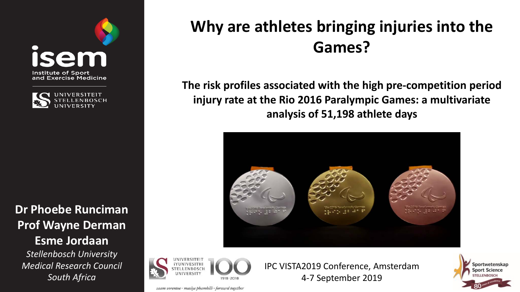



**Dr Phoebe Runciman Prof Wayne Derman Esme Jordaan**

*Stellenbosch University Medical Research Council South Africa*

## **Why are athletes bringing injuries into the Games?**

**The risk profiles associated with the high pre-competition period injury rate at the Rio 2016 Paralympic Games: a multivariate analysis of 51,198 athlete days** 





IPC VISTA2019 Conference, Amsterdam 4-7 September 2019



saam vorentoe · masiye phambili · forward together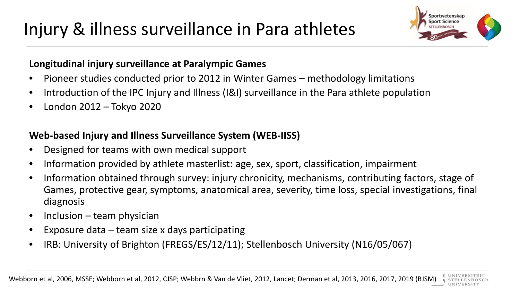# Injury & illness surveillance in Para athletes



#### **Longitudinal injury surveillance at Paralympic Games**

- Pioneer studies conducted prior to 2012 in Winter Games methodology limitations
- Introduction of the IPC Injury and Illness (I&I) surveillance in the Para athlete population
- London 2012 Tokyo 2020

## **Web-based Injury and Illness Surveillance System (WEB-IISS)**

- Designed for teams with own medical support
- Information provided by athlete masterlist: age, sex, sport, classification, impairment
- Information obtained through survey: injury chronicity, mechanisms, contributing factors, stage of Games, protective gear, symptoms, anatomical area, severity, time loss, special investigations, final diagnosis
- Inclusion team physician
- Exposure data  $-$  team size x days participating
- IRB: University of Brighton (FREGS/ES/12/11); Stellenbosch University (N16/05/067)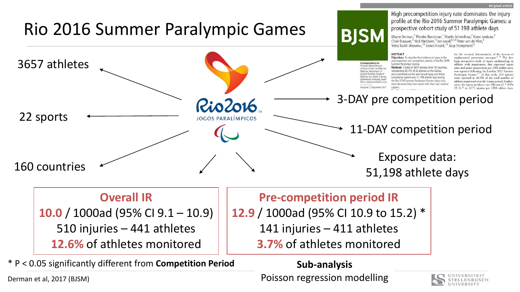

Derman et al, 2017 (BJSM)

Poisson regression modelling

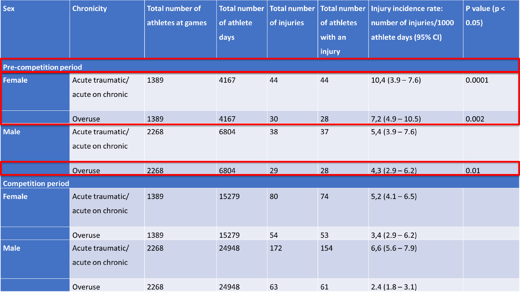| <b>Sex</b>                    | <b>Chronicity</b>                    | <b>Total number of</b><br>athletes at games | <b>Total number</b><br>of athlete<br>days | of injuries | Total number   Total number<br>of athletes<br>with an<br>injury | Injury incidence rate:<br>number of injuries/1000<br>athlete days (95% CI) | P value ( $p <$<br>0.05) |  |  |  |  |
|-------------------------------|--------------------------------------|---------------------------------------------|-------------------------------------------|-------------|-----------------------------------------------------------------|----------------------------------------------------------------------------|--------------------------|--|--|--|--|
| <b>Pre-competition period</b> |                                      |                                             |                                           |             |                                                                 |                                                                            |                          |  |  |  |  |
| <b>Female</b>                 | Acute traumatic/<br>acute on chronic | 1389                                        | 4167                                      | 44          | 44                                                              | $10,4(3.9 - 7.6)$                                                          | 0.0001                   |  |  |  |  |
|                               | Overuse                              | 1389                                        | 4167                                      | 30          | 28                                                              | $7,2(4.9-10.5)$                                                            | 0.002                    |  |  |  |  |
| <b>Male</b>                   | Acute traumatic/<br>acute on chronic | 2268                                        | 6804                                      | 38          | 37                                                              | $5,4(3.9 - 7.6)$                                                           |                          |  |  |  |  |
|                               | Overuse                              | 2268                                        | 6804                                      | 29          | 28                                                              | $4,3(2.9-6.2)$                                                             | 0.01                     |  |  |  |  |
| <b>Competition period</b>     |                                      |                                             |                                           |             |                                                                 |                                                                            |                          |  |  |  |  |
| <b>Female</b>                 | Acute traumatic/<br>acute on chronic | 1389                                        | 15279                                     | 80          | 74                                                              | $5,2(4.1-6.5)$                                                             |                          |  |  |  |  |
|                               | Overuse                              | 1389                                        | 15279                                     | 54          | 53                                                              | $3,4(2.9-6.2)$                                                             |                          |  |  |  |  |
| <b>Male</b>                   | Acute traumatic/<br>acute on chronic | 2268                                        | 24948                                     | 172         | 154                                                             | $6,6(5.6 - 7.9)$                                                           |                          |  |  |  |  |
|                               | Overuse                              | 2268                                        | 24948                                     | 63          | 61                                                              | $2.4(1.8-3.1)$                                                             |                          |  |  |  |  |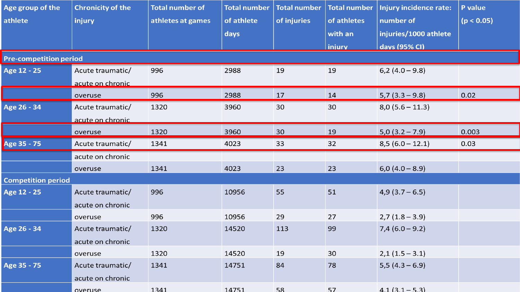| Age group of the              | <b>Chronicity of the</b> | <b>Total number of</b> | <b>Total number</b> | <b>Total number</b> | <b>Total number</b> | Injury incidence rate: | P value    |
|-------------------------------|--------------------------|------------------------|---------------------|---------------------|---------------------|------------------------|------------|
| athlete                       | injury                   | athletes at games      | of athlete          | of injuries         | of athletes         | number of              | (p < 0.05) |
|                               |                          |                        | days                |                     | with an             | injuries/1000 athlete  |            |
|                               |                          |                        |                     |                     | <b>injury</b>       | days (95% CI)          |            |
| <b>Pre-competition period</b> |                          |                        |                     |                     |                     |                        |            |
| Age 12 - 25                   | Acute traumatic/         | 996                    | 2988                | 19                  | 19                  | $6,2(4.0-9.8)$         |            |
|                               | acute on chronic         |                        |                     |                     |                     |                        |            |
|                               | overuse                  | 996                    | 2988                | 17                  | 14                  | $5,7(3.3 - 9.8)$       | 0.02       |
| Age 26 - 34                   | Acute traumatic/         | 1320                   | 3960                | 30                  | 30                  | $8,0(5.6-11.3)$        |            |
|                               | acute on chronic         |                        |                     |                     |                     |                        |            |
|                               | overuse                  | 1320                   | 3960                | 30                  | 19                  | $5,0(3.2 - 7.9)$       | 0.003      |
| Age 35 - 75                   | Acute traumatic/         | 1341                   | 4023                | 33                  | 32                  | $8,5(6.0-12.1)$        | 0.03       |
|                               | acute on chronic         |                        |                     |                     |                     |                        |            |
|                               | overuse                  | 1341                   | 4023                | 23                  | 23                  | $6,0(4.0-8.9)$         |            |
| <b>Competition period</b>     |                          |                        |                     |                     |                     |                        |            |
| Age 12 - 25                   | Acute traumatic/         | 996                    | 10956               | 55                  | 51                  | $4,9(3.7-6.5)$         |            |
|                               | acute on chronic         |                        |                     |                     |                     |                        |            |
|                               | overuse                  | 996                    | 10956               | 29                  | 27                  | $2,7(1.8-3.9)$         |            |
| Age 26 - 34                   | Acute traumatic/         | 1320                   | 14520               | 113                 | 99                  | $7,4(6.0-9.2)$         |            |
|                               | acute on chronic         |                        |                     |                     |                     |                        |            |
|                               | overuse                  | 1320                   | 14520               | 19                  | 30                  | $2,1(1.5-3.1)$         |            |
| Age 35 - 75                   | Acute traumatic/         | 1341                   | 14751               | 84                  | 78                  | $5,5(4.3-6.9)$         |            |
|                               | acute on chronic         |                        |                     |                     |                     |                        |            |
|                               | <b>OVALUSA</b>           | 1341                   | 14751               | 58                  | 57                  | $41(31 - 53)$          |            |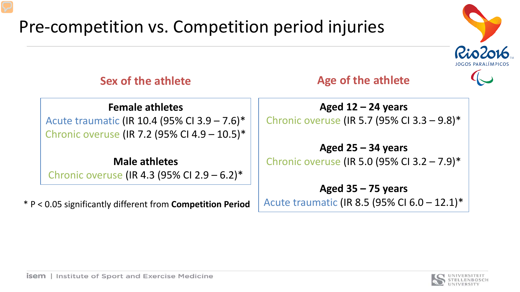# Pre-competition vs. Competition period injuries



## **Sex of the athlete**

**Age of the athlete**

#### **Female athletes**

Acute traumatic (IR 10.4 (95% CI 3.9 – 7.6)\* Chronic overuse (IR 7.2 (95% CI 4.9 – 10.5)\*

**Male athletes** Chronic overuse (IR 4.3 (95% CI 2.9 – 6.2)\*

\* P < 0.05 significantly different from **Competition Period**

**Aged 12 – 24 years** Chronic overuse (IR 5.7 (95% CI 3.3 – 9.8)\*

**Aged 25 – 34 years** Chronic overuse (IR 5.0 (95% CI 3.2 – 7.9)\*

## **Aged 35 – 75 years** Acute traumatic (IR 8.5 (95% CI 6.0 – 12.1)\*

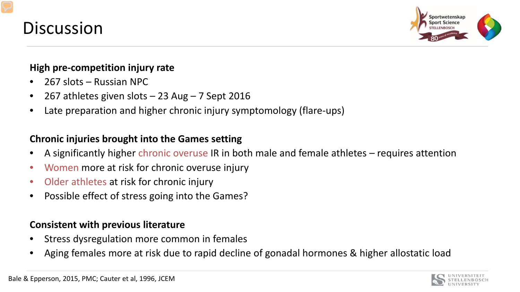



#### **High pre-competition injury rate**

- 267 slots Russian NPC
- 267 athletes given slots 23 Aug 7 Sept 2016
- Late preparation and higher chronic injury symptomology (flare-ups)

### **Chronic injuries brought into the Games setting**

- A significantly higher chronic overuse IR in both male and female athletes requires attention
- Women more at risk for chronic overuse injury
- Older athletes at risk for chronic injury
- Possible effect of stress going into the Games?

#### **Consistent with previous literature**

- Stress dysregulation more common in females
- Aging females more at risk due to rapid decline of gonadal hormones & higher allostatic load